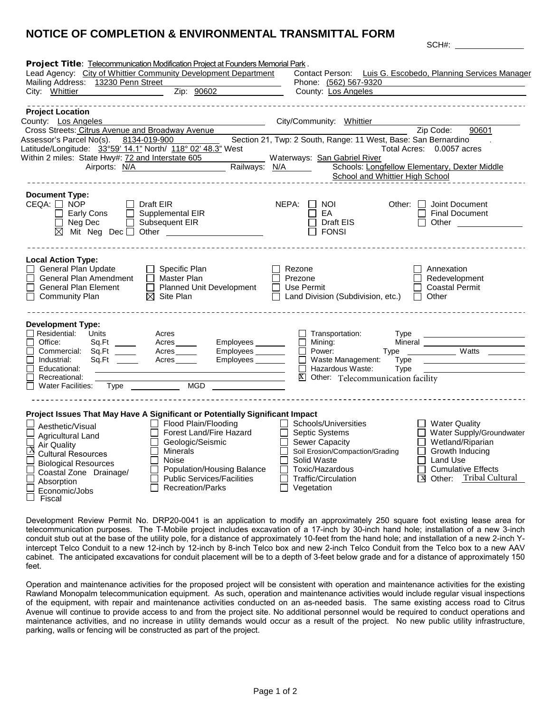## **NOTICE OF COMPLETION & ENVIRONMENTAL TRANSMITTAL FORM**

|                                                             | Project Title: Telecommunication Modification Project at Founders Memorial Park. |                                                                |                                                                                                                                                                                                                                |
|-------------------------------------------------------------|----------------------------------------------------------------------------------|----------------------------------------------------------------|--------------------------------------------------------------------------------------------------------------------------------------------------------------------------------------------------------------------------------|
|                                                             | Lead Agency: City of Whittier Community Development Department                   |                                                                | Contact Person: Luis G. Escobedo, Planning Services Manager                                                                                                                                                                    |
| Mailing Address: 13230 Penn Street                          |                                                                                  | Phone: (562) 567-9320                                          |                                                                                                                                                                                                                                |
| City: Whittier 2004                                         | Zip: 90602                                                                       | County: Los Angeles                                            |                                                                                                                                                                                                                                |
| <b>Project Location</b>                                     |                                                                                  |                                                                |                                                                                                                                                                                                                                |
| County: Los Angeles                                         |                                                                                  | City/Community: Whittier                                       |                                                                                                                                                                                                                                |
| Cross Streets: Citrus Avenue and Broadway Avenue            |                                                                                  |                                                                | Zip Code:<br>90601                                                                                                                                                                                                             |
| Assessor's Parcel No(s). 8134-019-900                       |                                                                                  | Section 21, Twp: 2 South, Range: 11 West, Base: San Bernardino |                                                                                                                                                                                                                                |
| Latitude/Longitude: 33°59' 14.1" North/ 118° 02' 48.3" West |                                                                                  |                                                                | Total Acres: 0.0057 acres                                                                                                                                                                                                      |
|                                                             | Within 2 miles: State Hwy#: 72 and Interstate 605                                | Waterways: San Gabriel River                                   |                                                                                                                                                                                                                                |
|                                                             | Airports: N/A Railways: N/A Ningham Railways: N/A                                | School and Whittier High School                                | Schools: Longfellow Elementary, Dexter Middle                                                                                                                                                                                  |
|                                                             |                                                                                  |                                                                |                                                                                                                                                                                                                                |
| <b>Document Type:</b>                                       |                                                                                  |                                                                |                                                                                                                                                                                                                                |
| $CEQA: \Box$ NOP                                            | Draft EIR                                                                        | $NEPA:$ $\Box$ NOI                                             | Other: $\Box$ Joint Document                                                                                                                                                                                                   |
| $\Box$ Early Cons                                           | $\Box$ Supplemental EIR                                                          | EA<br>П.                                                       | <b>Final Document</b>                                                                                                                                                                                                          |
| $\Box$ Neg Dec                                              | $\Box$ Subsequent EIR                                                            | $\Box$ Draft EIS                                               | Other the contract of the contract of the contract of the contract of the contract of the contract of the contract of the contract of the contract of the contract of the contract of the contract of the contract of the cont |
|                                                             | $\boxtimes$ Mit Neg Dec $\Box$ Other                                             | $\Box$ fonsi                                                   |                                                                                                                                                                                                                                |
|                                                             |                                                                                  |                                                                |                                                                                                                                                                                                                                |
|                                                             |                                                                                  |                                                                |                                                                                                                                                                                                                                |
| <b>Local Action Type:</b>                                   |                                                                                  |                                                                |                                                                                                                                                                                                                                |
| <b>General Plan Update</b><br>General Plan Amendment        | $\Box$ Specific Plan<br>$\overline{\Box}$ Master Plan                            | Rezone<br>Prezone                                              | Annexation<br>Redevelopment                                                                                                                                                                                                    |
| <b>General Plan Element</b>                                 | Planned Unit Development                                                         | $\Box$ Use Permit                                              | <b>Coastal Permit</b>                                                                                                                                                                                                          |
| <b>Community Plan</b>                                       | $\boxtimes$ Site Plan                                                            | Land Division (Subdivision, etc.)                              | $\Box$ Other                                                                                                                                                                                                                   |
|                                                             |                                                                                  |                                                                |                                                                                                                                                                                                                                |
|                                                             |                                                                                  |                                                                |                                                                                                                                                                                                                                |
| <b>Development Type:</b>                                    |                                                                                  |                                                                |                                                                                                                                                                                                                                |
| $\Box$ Residential: Units                                   | Acres                                                                            | $\Box$ Transportation:<br>Type                                 |                                                                                                                                                                                                                                |
| Office:                                                     | Acres<br>Employees                                                               | Mining:<br>Power:                                              | Type Watts                                                                                                                                                                                                                     |
| Commercial: Sq.Ft _____<br>Industrial:                      | Employees _______<br>Acres<br>Employees<br>Acres                                 | $\Box$ Waste Management:<br>Type                               |                                                                                                                                                                                                                                |
| Educational:<br>$\Box$                                      |                                                                                  | $\overline{\Box}$ Hazardous Waste:<br>Type                     |                                                                                                                                                                                                                                |
| Recreational:<br>$\Box$                                     |                                                                                  | X Other: Telecommunication facility                            |                                                                                                                                                                                                                                |
| Water Facilities:                                           | Type ________<br><b>MGD</b>                                                      |                                                                |                                                                                                                                                                                                                                |
|                                                             |                                                                                  |                                                                |                                                                                                                                                                                                                                |
|                                                             |                                                                                  |                                                                |                                                                                                                                                                                                                                |
|                                                             | Project Issues That May Have A Significant or Potentially Significant Impact     |                                                                |                                                                                                                                                                                                                                |
| Aesthetic/Visual                                            | Flood Plain/Flooding                                                             | Schools/Universities                                           | <b>Water Quality</b>                                                                                                                                                                                                           |
| Agricultural Land                                           | Forest Land/Fire Hazard<br>Geologic/Seismic                                      | Septic Systems<br>l 1<br><b>Sewer Capacity</b>                 | Water Supply/Groundwater<br>Wetland/Riparian                                                                                                                                                                                   |
| Air Quality                                                 | Minerals                                                                         | Soil Erosion/Compaction/Grading<br>$\mathsf{I}$                | $\Box$<br>Growth Inducing                                                                                                                                                                                                      |
| <b>Cultural Resources</b>                                   | Noise                                                                            | Solid Waste<br>$\mathbf{I}$                                    | $\Box$ Land Use                                                                                                                                                                                                                |
| <b>Biological Resources</b>                                 | Population/Housing Balance                                                       | Toxic/Hazardous<br>П                                           | <b>Cumulative Effects</b>                                                                                                                                                                                                      |
| Coastal Zone Drainage/                                      | <b>Public Services/Facilities</b>                                                | Traffic/Circulation                                            | Other: Tribal Cultural<br>ΓX                                                                                                                                                                                                   |
| Absorption<br>Economic/Jobs                                 | <b>Recreation/Parks</b>                                                          | Vegetation                                                     |                                                                                                                                                                                                                                |
| Fiscal                                                      |                                                                                  |                                                                |                                                                                                                                                                                                                                |

SCH#:

Development Review Permit No. DRP20-0041 is an application to modify an approximately 250 square foot existing lease area for telecommunication purposes. The T-Mobile project includes excavation of a 17-inch by 30-inch hand hole; installation of a new 3-inch conduit stub out at the base of the utility pole, for a distance of approximately 10-feet from the hand hole; and installation of a new 2-inch Yintercept Telco Conduit to a new 12-inch by 12-inch by 8-inch Telco box and new 2-inch Telco Conduit from the Telco box to a new AAV cabinet. The anticipated excavations for conduit placement will be to a depth of 3-feet below grade and for a distance of approximately 150 feet.

Operation and maintenance activities for the proposed project will be consistent with operation and maintenance activities for the existing Rawland Monopalm telecommunication equipment. As such, operation and maintenance activities would include regular visual inspections of the equipment, with repair and maintenance activities conducted on an as-needed basis. The same existing access road to Citrus Avenue will continue to provide access to and from the project site. No additional personnel would be required to conduct operations and maintenance activities, and no increase in utility demands would occur as a result of the project. No new public utility infrastructure, parking, walls or fencing will be constructed as part of the project.